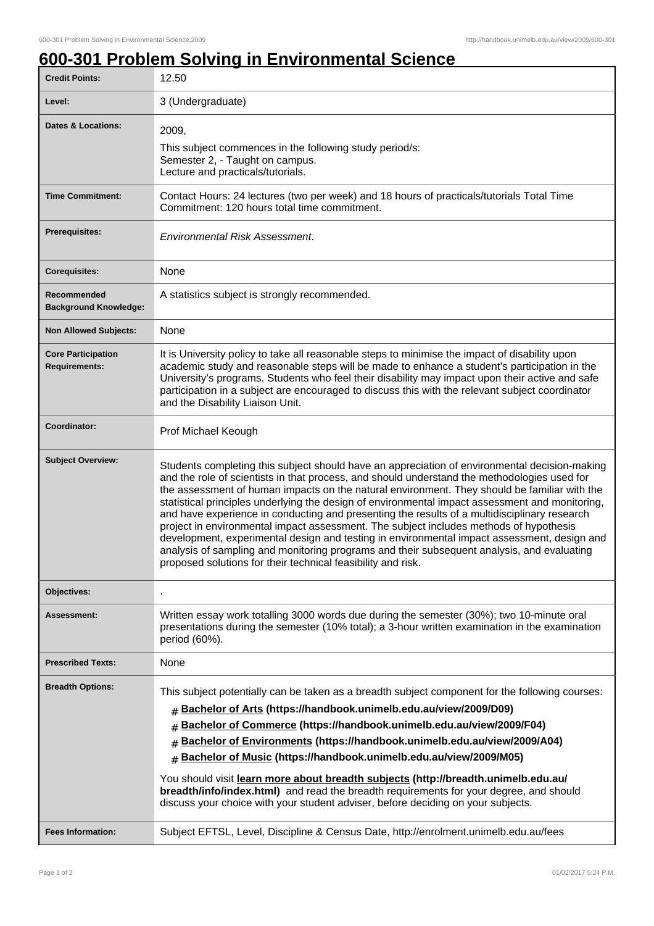## **600-301 Problem Solving in Environmental Science**

| <b>Credit Points:</b>                             | 12.50                                                                                                                                                                                                                                                                                                                                                                                                                                                                                                                                                                                                                                                                                                                                                                                                                                                   |
|---------------------------------------------------|---------------------------------------------------------------------------------------------------------------------------------------------------------------------------------------------------------------------------------------------------------------------------------------------------------------------------------------------------------------------------------------------------------------------------------------------------------------------------------------------------------------------------------------------------------------------------------------------------------------------------------------------------------------------------------------------------------------------------------------------------------------------------------------------------------------------------------------------------------|
| Level:                                            | 3 (Undergraduate)                                                                                                                                                                                                                                                                                                                                                                                                                                                                                                                                                                                                                                                                                                                                                                                                                                       |
| <b>Dates &amp; Locations:</b>                     | 2009,<br>This subject commences in the following study period/s:<br>Semester 2, - Taught on campus.<br>Lecture and practicals/tutorials.                                                                                                                                                                                                                                                                                                                                                                                                                                                                                                                                                                                                                                                                                                                |
| <b>Time Commitment:</b>                           | Contact Hours: 24 lectures (two per week) and 18 hours of practicals/tutorials Total Time<br>Commitment: 120 hours total time commitment.                                                                                                                                                                                                                                                                                                                                                                                                                                                                                                                                                                                                                                                                                                               |
| <b>Prerequisites:</b>                             | <b>Environmental Risk Assessment.</b>                                                                                                                                                                                                                                                                                                                                                                                                                                                                                                                                                                                                                                                                                                                                                                                                                   |
| <b>Corequisites:</b>                              | None                                                                                                                                                                                                                                                                                                                                                                                                                                                                                                                                                                                                                                                                                                                                                                                                                                                    |
| Recommended<br><b>Background Knowledge:</b>       | A statistics subject is strongly recommended.                                                                                                                                                                                                                                                                                                                                                                                                                                                                                                                                                                                                                                                                                                                                                                                                           |
| <b>Non Allowed Subjects:</b>                      | None                                                                                                                                                                                                                                                                                                                                                                                                                                                                                                                                                                                                                                                                                                                                                                                                                                                    |
| <b>Core Participation</b><br><b>Requirements:</b> | It is University policy to take all reasonable steps to minimise the impact of disability upon<br>academic study and reasonable steps will be made to enhance a student's participation in the<br>University's programs. Students who feel their disability may impact upon their active and safe<br>participation in a subject are encouraged to discuss this with the relevant subject coordinator<br>and the Disability Liaison Unit.                                                                                                                                                                                                                                                                                                                                                                                                                |
| Coordinator:                                      | Prof Michael Keough                                                                                                                                                                                                                                                                                                                                                                                                                                                                                                                                                                                                                                                                                                                                                                                                                                     |
| <b>Subject Overview:</b>                          | Students completing this subject should have an appreciation of environmental decision-making<br>and the role of scientists in that process, and should understand the methodologies used for<br>the assessment of human impacts on the natural environment. They should be familiar with the<br>statistical principles underlying the design of environmental impact assessment and monitoring,<br>and have experience in conducting and presenting the results of a multidisciplinary research<br>project in environmental impact assessment. The subject includes methods of hypothesis<br>development, experimental design and testing in environmental impact assessment, design and<br>analysis of sampling and monitoring programs and their subsequent analysis, and evaluating<br>proposed solutions for their technical feasibility and risk. |
| <b>Objectives:</b>                                |                                                                                                                                                                                                                                                                                                                                                                                                                                                                                                                                                                                                                                                                                                                                                                                                                                                         |
| Assessment:                                       | Written essay work totalling 3000 words due during the semester (30%); two 10-minute oral<br>presentations during the semester (10% total); a 3-hour written examination in the examination<br>period (60%).                                                                                                                                                                                                                                                                                                                                                                                                                                                                                                                                                                                                                                            |
| <b>Prescribed Texts:</b>                          | None                                                                                                                                                                                                                                                                                                                                                                                                                                                                                                                                                                                                                                                                                                                                                                                                                                                    |
| <b>Breadth Options:</b>                           | This subject potentially can be taken as a breadth subject component for the following courses:<br>Bachelor of Arts (https://handbook.unimelb.edu.au/view/2009/D09)<br>#<br>Bachelor of Commerce (https://handbook.unimelb.edu.au/view/2009/F04)<br>#<br>Bachelor of Environments (https://handbook.unimelb.edu.au/view/2009/A04)<br>#<br>Bachelor of Music (https://handbook.unimelb.edu.au/view/2009/M05)<br>#<br>You should visit learn more about breadth subjects (http://breadth.unimelb.edu.au/<br>breadth/info/index.html) and read the breadth requirements for your degree, and should<br>discuss your choice with your student adviser, before deciding on your subjects.                                                                                                                                                                    |
| <b>Fees Information:</b>                          | Subject EFTSL, Level, Discipline & Census Date, http://enrolment.unimelb.edu.au/fees                                                                                                                                                                                                                                                                                                                                                                                                                                                                                                                                                                                                                                                                                                                                                                    |